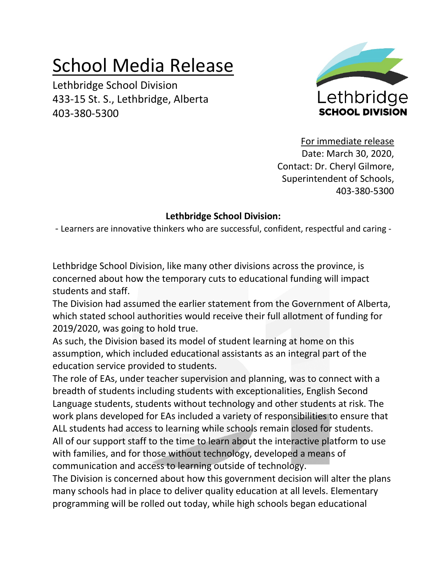## School Media Release

Lethbridge School Division 433-15 St. S., Lethbridge, Alberta 403-380-5300



For immediate release Date: March 30, 2020, Contact: Dr. Cheryl Gilmore, Superintendent of Schools, 403-380-5300

## **Lethbridge School Division:**

- Learners are innovative thinkers who are successful, confident, respectful and caring -

Lethbridge School Division, like many other divisions across the province, is concerned about how the temporary cuts to educational funding will impact students and staff.

The Division had assumed the earlier statement from the Government of Alberta, which stated school authorities would receive their full allotment of funding for 2019/2020, was going to hold true.

As such, the Division based its model of student learning at home on this assumption, which included educational assistants as an integral part of the education service provided to students.

The role of EAs, under teacher supervision and planning, was to connect with a breadth of students including students with exceptionalities, English Second Language students, students without technology and other students at risk. The work plans developed for EAs included a variety of responsibilities to ensure that ALL students had access to learning while schools remain closed for students. All of our support staff to the time to learn about the interactive platform to use with families, and for those without technology, developed a means of communication and access to learning outside of technology.

The Division is concerned about how this government decision will alter the plans many schools had in place to deliver quality education at all levels. Elementary programming will be rolled out today, while high schools began educational